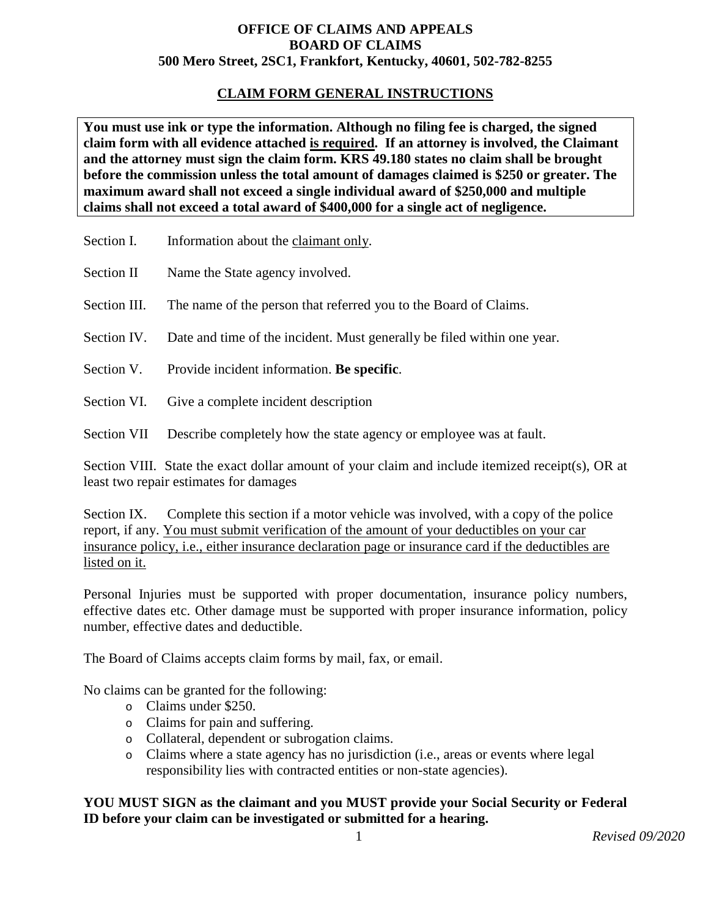## **OFFICE OF CLAIMS AND APPEALS BOARD OF CLAIMS 500 Mero Street, 2SC1, Frankfort, Kentucky, 40601, 502-782-8255**

## **CLAIM FORM GENERAL INSTRUCTIONS**

**You must use ink or type the information. Although no filing fee is charged, the signed claim form with all evidence attached is required. If an attorney is involved, the Claimant and the attorney must sign the claim form. KRS 49.180 states no claim shall be brought before the commission unless the total amount of damages claimed is \$250 or greater. The maximum award shall not exceed a single individual award of \$250,000 and multiple claims shall not exceed a total award of \$400,000 for a single act of negligence.** 

- Section I. Information about the claimant only.
- Section II Name the State agency involved.
- Section III. The name of the person that referred you to the Board of Claims.
- Section IV. Date and time of the incident. Must generally be filed within one year.
- Section V. Provide incident information. **Be specific**.
- Section VI. Give a complete incident description
- Section VII Describe completely how the state agency or employee was at fault.

Section VIII. State the exact dollar amount of your claim and include itemized receipt(s), OR at least two repair estimates for damages

Section IX. Complete this section if a motor vehicle was involved, with a copy of the police report, if any. You must submit verification of the amount of your deductibles on your car insurance policy, i.e., either insurance declaration page or insurance card if the deductibles are listed on it.

Personal Injuries must be supported with proper documentation, insurance policy numbers, effective dates etc. Other damage must be supported with proper insurance information, policy number, effective dates and deductible.

The Board of Claims accepts claim forms by mail, fax, or email.

No claims can be granted for the following:

- o Claims under \$250.
- o Claims for pain and suffering.
- o Collateral, dependent or subrogation claims.
- o Claims where a state agency has no jurisdiction (i.e., areas or events where legal responsibility lies with contracted entities or non-state agencies).

## **YOU MUST SIGN as the claimant and you MUST provide your Social Security or Federal ID before your claim can be investigated or submitted for a hearing.**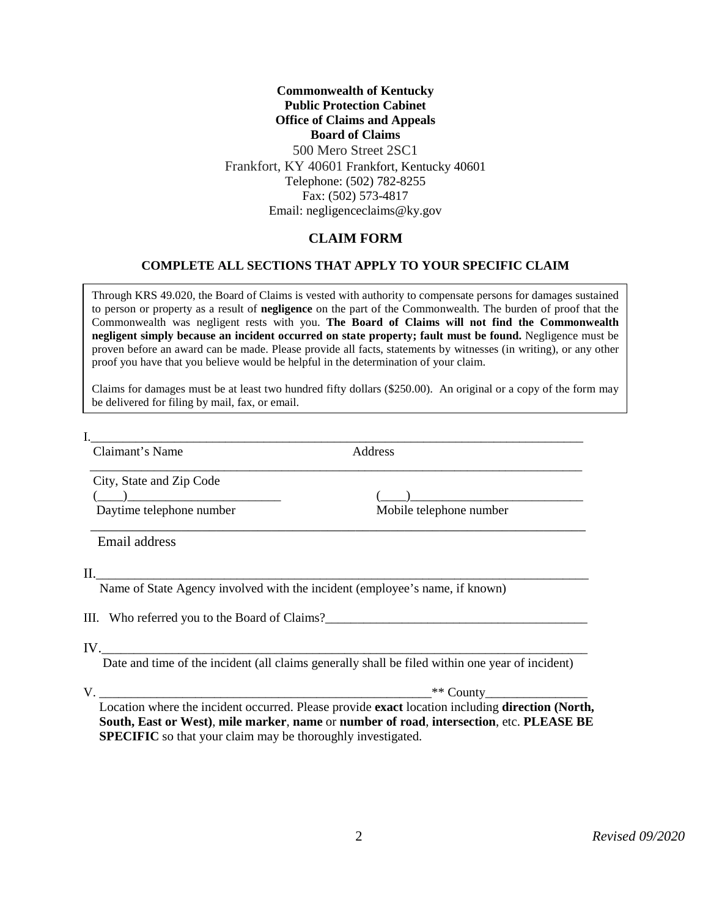#### **Commonwealth of Kentucky Public Protection Cabinet Office of Claims and Appeals Board of Claims**  500 Mero Street 2SC1 Frankfort, KY 40601 Frankfort, Kentucky 40601 Telephone: (502) 782-8255 Fax: (502) 573-4817 Email: negligenceclaims@ky.gov

## **CLAIM FORM**

### **COMPLETE ALL SECTIONS THAT APPLY TO YOUR SPECIFIC CLAIM**

Through KRS 49.020, the Board of Claims is vested with authority to compensate persons for damages sustained to person or property as a result of **negligence** on the part of the Commonwealth. The burden of proof that the Commonwealth was negligent rests with you. **The Board of Claims will not find the Commonwealth negligent simply because an incident occurred on state property; fault must be found.** Negligence must be proven before an award can be made. Please provide all facts, statements by witnesses (in writing), or any other proof you have that you believe would be helpful in the determination of your claim.

Claims for damages must be at least two hundred fifty dollars (\$250.00). An original or a copy of the form may be delivered for filing by mail, fax, or email.

I.\_\_\_\_\_\_\_\_\_\_\_\_\_\_\_\_\_\_\_\_\_\_\_\_\_\_\_\_\_\_\_\_\_\_\_\_\_\_\_\_\_\_\_\_\_\_\_\_\_\_\_\_\_\_\_\_\_\_\_\_\_\_\_\_\_\_\_\_\_\_\_\_\_\_\_\_\_

Claimant's Name Address

\_\_\_\_\_\_\_\_\_\_\_\_\_\_\_\_\_\_\_\_\_\_\_\_\_\_\_\_\_\_\_\_\_\_\_\_\_\_\_\_\_\_\_\_\_\_\_\_\_\_\_\_\_\_\_\_\_\_\_\_\_\_\_\_\_\_\_\_\_\_\_\_\_\_\_\_\_

City, State and Zip Code

 $\overline{$ Daytime telephone number

Email address

 $\rm{II.}\!\!\!\!\!-\!\!\!\!\!-\!\!\!\!\!-\!\!\!\!\!-\!\!\!\!\!-\!\!\!\!\!-\!\!\!\!\!-\!\!\!\!\!-\!\!\!\!\!-\!\!\!\!\!-\!\!\!\!\!-\!\!\!\!\!-\!\!\!\!\!-\!\!\!\!\!-\!\!\!\!\!-\!\!\!\!\!-\!\!\!\!\!-\!\!\!\!\!-\!\!\!\!\!-\!\!\!\!\!-\!\!\!\!\!-\!\!\!\!\!-\!\!\!\!\!-\!\!\!\!\!-\!\!\!\!\!-\!\!\!\!\!-\!\!\!\!\!-\!\!\!\!\!-\!\!\!\!\!-\!\!\!\!\!-\!\!\!\!\!-\!\!\!\!\!-\!\!\!\!\!-\!\!\!\!\!-\!\!\!\!\!-\!\!\!\!\$ 

Name of State Agency involved with the incident (employee's name, if known)

III. Who referred you to the Board of Claims?\_\_\_\_\_\_\_\_\_\_\_\_\_\_\_\_\_\_\_\_\_\_\_\_\_\_\_\_\_\_\_\_\_\_\_\_\_\_\_\_\_

IV.\_\_\_\_\_\_\_\_\_\_\_\_\_\_\_\_\_\_\_\_\_\_\_\_\_\_\_\_\_\_\_\_\_\_\_\_\_\_\_\_\_\_\_\_\_\_\_\_\_\_\_\_\_\_\_\_\_\_\_\_\_\_\_\_\_\_\_\_\_\_\_\_\_\_\_\_

Date and time of the incident (all claims generally shall be filed within one year of incident)

\_\_\_\_\_\_\_\_\_\_\_\_\_\_\_\_\_\_\_\_\_\_\_\_\_\_\_\_\_\_\_\_\_\_\_\_\_\_\_\_\_\_\_\_\_\_\_\_\_\_\_\_\_\_\_\_\_\_\_\_\_\_\_\_\_\_\_\_\_\_\_

V.

 $\frac{(\underline{\hspace{1cm}})}{\text{Mobile telephone number}}$ 

Location where the incident occurred. Please provide **exact** location including **direction (North, South, East or West)**, **mile marker**, **name** or **number of road**, **intersection**, etc. **PLEASE BE SPECIFIC** so that your claim may be thoroughly investigated.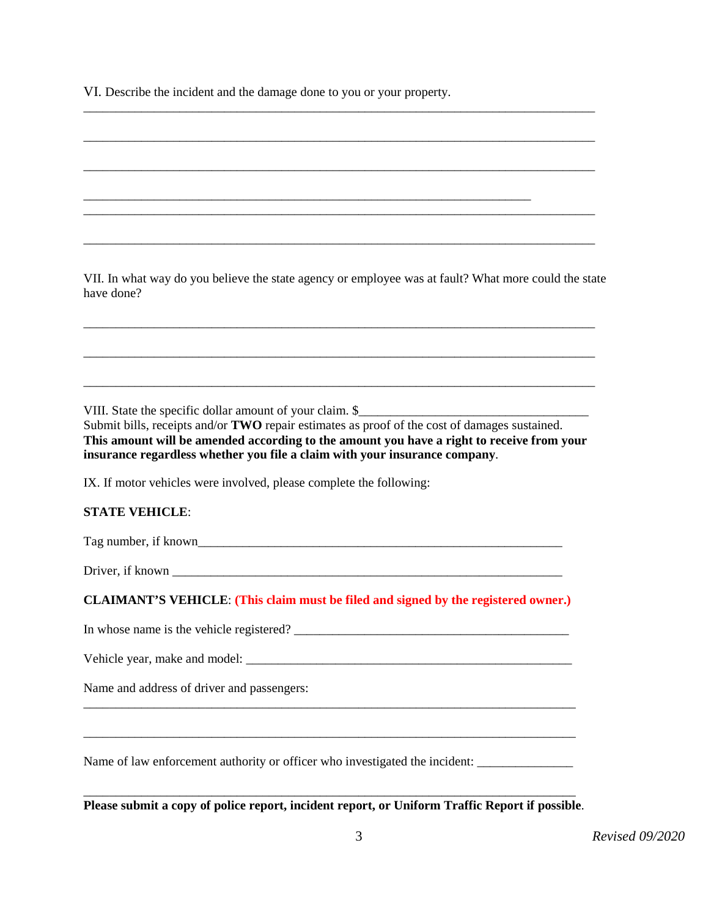VI. Describe the incident and the damage done to you or your property.

VII. In what way do you believe the state agency or employee was at fault? What more could the state have done?

\_\_\_\_\_\_\_\_\_\_\_\_\_\_\_\_\_\_\_\_\_\_\_\_\_\_\_\_\_\_\_\_\_\_\_\_\_\_\_\_\_\_\_\_\_\_\_\_\_\_\_\_\_\_\_\_\_\_\_\_\_\_\_\_\_\_\_\_\_\_\_\_\_\_\_\_\_\_\_\_

\_\_\_\_\_\_\_\_\_\_\_\_\_\_\_\_\_\_\_\_\_\_\_\_\_\_\_\_\_\_\_\_\_\_\_\_\_\_\_\_\_\_\_\_\_\_\_\_\_\_\_\_\_\_\_\_\_\_\_\_\_\_\_\_\_\_\_\_\_\_\_\_\_\_\_\_\_\_\_\_

\_\_\_\_\_\_\_\_\_\_\_\_\_\_\_\_\_\_\_\_\_\_\_\_\_\_\_\_\_\_\_\_\_\_\_\_\_\_\_\_\_\_\_\_\_\_\_\_\_\_\_\_\_\_\_\_\_\_\_\_\_\_\_\_\_\_\_\_\_\_\_\_\_\_\_\_\_\_\_\_

\_\_\_\_\_\_\_\_\_\_\_\_\_\_\_\_\_\_\_\_\_\_\_\_\_\_\_\_\_\_\_\_\_\_\_\_\_\_\_\_\_\_\_\_\_\_\_\_\_\_\_\_\_\_\_\_\_\_\_\_\_\_\_\_\_\_\_\_\_\_\_\_\_\_\_\_\_\_\_\_

\_\_\_\_\_\_\_\_\_\_\_\_\_\_\_\_\_\_\_\_\_\_\_\_\_\_\_\_\_\_\_\_\_\_\_\_\_\_\_\_\_\_\_\_\_\_\_\_\_\_\_\_\_\_\_\_\_\_\_\_\_\_\_\_\_\_\_\_\_\_\_\_\_\_\_\_\_\_\_\_

\_\_\_\_\_\_\_\_\_\_\_\_\_\_\_\_\_\_\_\_\_\_\_\_\_\_\_\_\_\_\_\_\_\_\_\_\_\_\_\_\_\_\_\_\_\_\_\_\_\_\_\_\_\_\_\_\_\_\_\_\_\_\_\_\_\_\_\_\_\_\_\_\_\_\_\_\_\_\_\_

\_\_\_\_\_\_\_\_\_\_\_\_\_\_\_\_\_\_\_\_\_\_\_\_\_\_\_\_\_\_\_\_\_\_\_\_\_\_\_\_\_\_\_\_\_\_\_\_\_\_\_\_\_\_\_\_\_\_\_\_\_\_\_\_\_\_\_\_\_\_\_\_\_\_\_\_\_\_\_\_

\_\_\_\_\_\_\_\_\_\_\_\_\_\_\_\_\_\_\_\_\_\_\_\_\_\_\_\_\_\_\_\_\_\_\_\_\_\_\_\_\_\_\_\_\_\_\_\_\_\_\_\_\_\_\_\_\_\_\_\_\_\_\_\_\_\_\_\_\_\_\_\_\_\_\_\_\_\_\_\_

\_\_\_\_\_\_\_\_\_\_\_\_\_\_\_\_\_\_\_\_\_\_\_\_\_\_\_\_\_\_\_\_\_\_\_\_\_\_\_\_\_\_\_\_\_\_\_\_\_\_\_\_\_\_\_\_\_\_\_\_\_\_\_\_\_\_\_\_\_\_

VIII. State the specific dollar amount of your claim. \$

Submit bills, receipts and/or **TWO** repair estimates as proof of the cost of damages sustained. **This amount will be amended according to the amount you have a right to receive from your insurance regardless whether you file a claim with your insurance company**.

IX. If motor vehicles were involved, please complete the following:

#### **STATE VEHICLE**:

Tag number, if known

Driver, if known \_\_\_\_\_\_\_\_\_\_\_\_\_\_\_\_\_\_\_\_\_\_\_\_\_\_\_\_\_\_\_\_\_\_\_\_\_\_\_\_\_\_\_\_\_\_\_\_\_\_\_\_\_\_\_\_\_\_\_\_\_

#### **CLAIMANT'S VEHICLE**: **(This claim must be filed and signed by the registered owner.)**

In whose name is the vehicle registered?

Vehicle year, make and model: \_\_\_\_\_\_\_\_\_\_\_\_\_\_\_\_\_\_\_\_\_\_\_\_\_\_\_\_\_\_\_\_\_\_\_\_\_\_\_\_\_\_\_\_\_\_\_\_\_\_\_

Name and address of driver and passengers:

Name of law enforcement authority or officer who investigated the incident: \_\_\_\_\_\_\_\_\_\_\_\_\_\_\_\_\_\_\_\_\_\_\_\_\_\_\_\_\_\_\_\_\_\_

\_\_\_\_\_\_\_\_\_\_\_\_\_\_\_\_\_\_\_\_\_\_\_\_\_\_\_\_\_\_\_\_\_\_\_\_\_\_\_\_\_\_\_\_\_\_\_\_\_\_\_\_\_\_\_\_\_\_\_\_\_\_\_\_\_\_\_\_\_\_\_\_\_\_\_\_\_ **Please submit a copy of police report, incident report, or Uniform Traffic Report if possible**.

\_\_\_\_\_\_\_\_\_\_\_\_\_\_\_\_\_\_\_\_\_\_\_\_\_\_\_\_\_\_\_\_\_\_\_\_\_\_\_\_\_\_\_\_\_\_\_\_\_\_\_\_\_\_\_\_\_\_\_\_\_\_\_\_\_\_\_\_\_\_\_\_\_\_\_\_\_

\_\_\_\_\_\_\_\_\_\_\_\_\_\_\_\_\_\_\_\_\_\_\_\_\_\_\_\_\_\_\_\_\_\_\_\_\_\_\_\_\_\_\_\_\_\_\_\_\_\_\_\_\_\_\_\_\_\_\_\_\_\_\_\_\_\_\_\_\_\_\_\_\_\_\_\_\_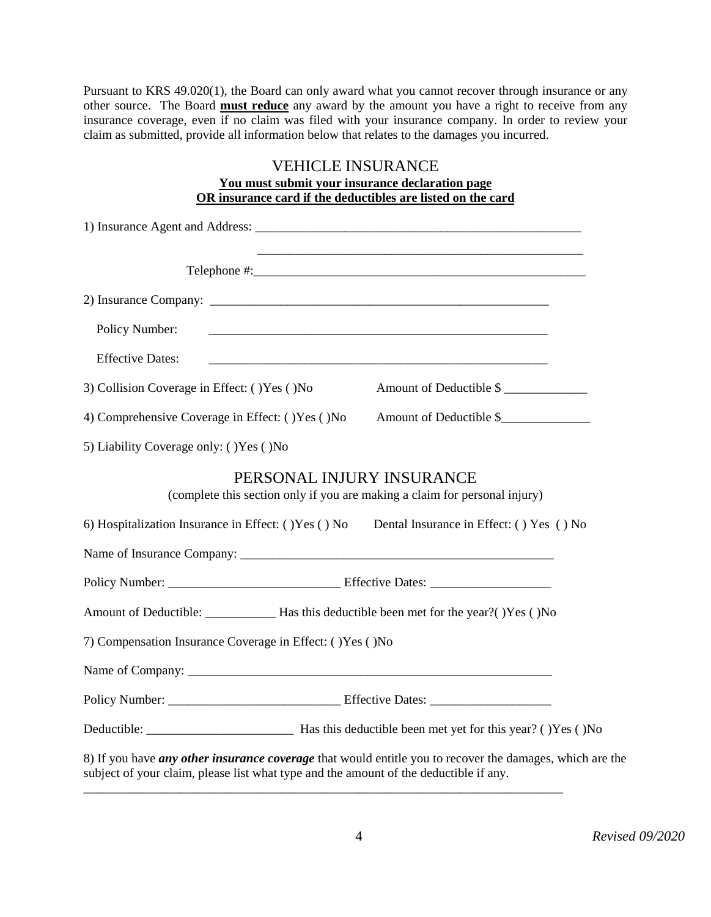Pursuant to KRS 49.020(1), the Board can only award what you cannot recover through insurance or any other source. The Board **must reduce** any award by the amount you have a right to receive from any insurance coverage, even if no claim was filed with your insurance company. In order to review your claim as submitted, provide all information below that relates to the damages you incurred.

## VEHICLE INSURANCE

**You must submit your insurance declaration page OR insurance card if the deductibles are listed on the card**

| <u> 1980 - Johann Barn, amerikan bernama di sebagai bernama di sebagai bernama di sebagai bernama di sebagai bern</u>                                                                             |
|---------------------------------------------------------------------------------------------------------------------------------------------------------------------------------------------------|
|                                                                                                                                                                                                   |
| Policy Number:                                                                                                                                                                                    |
| <b>Effective Dates:</b>                                                                                                                                                                           |
| Amount of Deductible \$<br>3) Collision Coverage in Effect: () Yes () No                                                                                                                          |
| 4) Comprehensive Coverage in Effect: () Yes () No<br>Amount of Deductible \$                                                                                                                      |
| 5) Liability Coverage only: () Yes () No                                                                                                                                                          |
| PERSONAL INJURY INSURANCE<br>(complete this section only if you are making a claim for personal injury)                                                                                           |
| 6) Hospitalization Insurance in Effect: ()Yes () No Dental Insurance in Effect: () Yes () No                                                                                                      |
|                                                                                                                                                                                                   |
|                                                                                                                                                                                                   |
|                                                                                                                                                                                                   |
| 7) Compensation Insurance Coverage in Effect: () Yes () No                                                                                                                                        |
|                                                                                                                                                                                                   |
|                                                                                                                                                                                                   |
|                                                                                                                                                                                                   |
| 8) If you have any other insurance coverage that would entitle you to recover the damages, which are the<br>subject of your claim, please list what type and the amount of the deductible if any. |